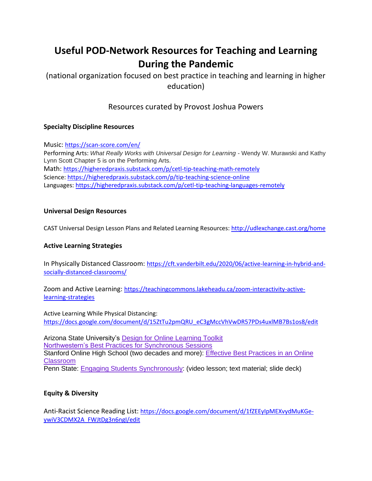# **Useful POD-Network Resources for Teaching and Learning During the Pandemic**

(national organization focused on best practice in teaching and learning in higher education)

Resources curated by Provost Joshua Powers

# **Specialty Discipline Resources**

Music: <https://scan-score.com/en/> Performing Arts: *What Really Works with Universal Design for Learning -* Wendy W. Murawski and Kathy Lynn Scott Chapter 5 is on the Performing Arts. Math: <https://higheredpraxis.substack.com/p/cetl-tip-teaching-math-remotely> Science:<https://higheredpraxis.substack.com/p/tip-teaching-science-online> Languages:<https://higheredpraxis.substack.com/p/cetl-tip-teaching-languages-remotely>

### **Universal Design Resources**

CAST Universal Design Lesson Plans and Related Learning Resources[: http://udlexchange.cast.org/home](http://udlexchange.cast.org/home)

### **Active Learning Strategies**

In Physically Distanced Classroom: [https://cft.vanderbilt.edu/2020/06/active-learning-in-hybrid-and](https://cft.vanderbilt.edu/2020/06/active-learning-in-hybrid-and-socially-distanced-classrooms/)[socially-distanced-classrooms/](https://cft.vanderbilt.edu/2020/06/active-learning-in-hybrid-and-socially-distanced-classrooms/)

Zoom and Active Learning: [https://teachingcommons.lakeheadu.ca/zoom-interactivity-active](https://teachingcommons.lakeheadu.ca/zoom-interactivity-active-learning-strategies)[learning-strategies](https://teachingcommons.lakeheadu.ca/zoom-interactivity-active-learning-strategies)

Active Learning While Physical Distancing: [https://docs.google.com/document/d/15ZtTu2pmQRU\\_eC3gMccVhVwDR57PDs4uxlMB7Bs1os8/edit](https://docs.google.com/document/d/15ZtTu2pmQRU_eC3gMccVhVwDR57PDs4uxlMB7Bs1os8/edit)

Arizona State University's Design for Online [Learning](https://teachonline.asu.edu/online-toolkit-guided-process/) Toolkit [Northwestern's](https://dl.sps.northwestern.edu/blog/2017/06/best-practices-synchronous-sessions/) Best Practices for Synchronous Sessions Stanford Online High School (two decades and more): **Effective Best [Practices](http://practices/) in an Online** [Classroom](http://practices/) Penn State: Engaging Students [Synchronously:](https://psu.pb.unizin.org/engagingstudents/chapter/engaging-students-synchronously/) (video lesson; text material; slide deck)

### **Equity & Diversity**

Anti-Racist Science Reading List: [https://docs.google.com/document/d/1fZEEyIpMEXvydMuKGe](https://docs.google.com/document/d/1fZEEyIpMEXvydMuKGe-ywiV3CDMX2A_FWJtDg3n6ngI/edit)[ywiV3CDMX2A\\_FWJtDg3n6ngI/edit](https://docs.google.com/document/d/1fZEEyIpMEXvydMuKGe-ywiV3CDMX2A_FWJtDg3n6ngI/edit)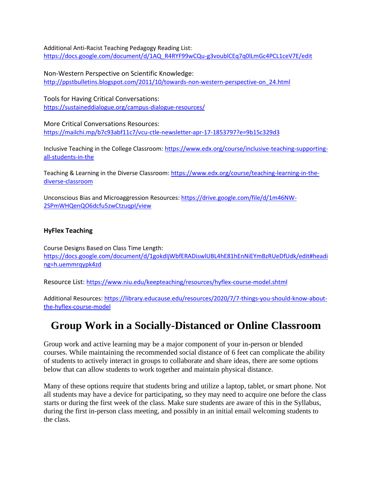Additional Anti-Racist Teaching Pedagogy Reading List:

[https://docs.google.com/document/d/1AQ\\_R4RYF99wCQu-g3voublCEq7q0lLmGc4PCL1ceV7E/edit](https://docs.google.com/document/d/1AQ_R4RYF99wCQu-g3voublCEq7q0lLmGc4PCL1ceV7E/edit)

Non-Western Perspective on Scientific Knowledge: [http://ppstbulletins.blogspot.com/2011/10/towards-non-western-perspective-on\\_24.html](http://ppstbulletins.blogspot.com/2011/10/towards-non-western-perspective-on_24.html)

Tools for Having Critical Conversations: <https://sustaineddialogue.org/campus-dialogue-resources/>

More Critical Conversations Resources: <https://mailchi.mp/b7c93abf11c7/vcu-ctle-newsletter-apr-17-1853797?e=9b15c329d3>

Inclusive Teaching in the College Classroom: [https://www.edx.org/course/inclusive-teaching-supporting](https://www.edx.org/course/inclusive-teaching-supporting-all-students-in-the)[all-students-in-the](https://www.edx.org/course/inclusive-teaching-supporting-all-students-in-the)

Teaching & Learning in the Diverse Classroom[: https://www.edx.org/course/teaching-learning-in-the](https://www.edx.org/course/teaching-learning-in-the-diverse-classroom)[diverse-classroom](https://www.edx.org/course/teaching-learning-in-the-diverse-classroom)

Unconscious Bias and Microaggression Resources: [https://drive.google.com/file/d/1m46NW-](https://drive.google.com/file/d/1m46NW-2SPmWHQenQO6dcfu5zwCtzuqpI/view)[2SPmWHQenQO6dcfu5zwCtzuqpI/view](https://drive.google.com/file/d/1m46NW-2SPmWHQenQO6dcfu5zwCtzuqpI/view)

### **HyFlex Teaching**

Course Designs Based on Class Time Length: [https://docs.google.com/document/d/1gokdIjWbfERADiswlUBL4hE81hEnNiEYmBzRUeDfUdk/edit#headi](https://docs.google.com/document/d/1gokdIjWbfERADiswlUBL4hE81hEnNiEYmBzRUeDfUdk/edit#heading=h.uemmrqypk4zd) [ng=h.uemmrqypk4zd](https://docs.google.com/document/d/1gokdIjWbfERADiswlUBL4hE81hEnNiEYmBzRUeDfUdk/edit#heading=h.uemmrqypk4zd)

Resource List: <https://www.niu.edu/keepteaching/resources/hyflex-course-model.shtml>

Additional Resources[: https://library.educause.edu/resources/2020/7/7-things-you-should-know-about](https://library.educause.edu/resources/2020/7/7-things-you-should-know-about-the-hyflex-course-model)[the-hyflex-course-model](https://library.educause.edu/resources/2020/7/7-things-you-should-know-about-the-hyflex-course-model)

# **Group Work in a Socially-Distanced or Online Classroom**

Group work and active learning may be a major component of your in-person or blended courses. While maintaining the recommended social distance of 6 feet can complicate the ability of students to actively interact in groups to collaborate and share ideas, there are some options below that can allow students to work together and maintain physical distance.

Many of these options require that students bring and utilize a laptop, tablet, or smart phone. Not all students may have a device for participating, so they may need to acquire one before the class starts or during the first week of the class. Make sure students are aware of this in the Syllabus, during the first in-person class meeting, and possibly in an initial email welcoming students to the class.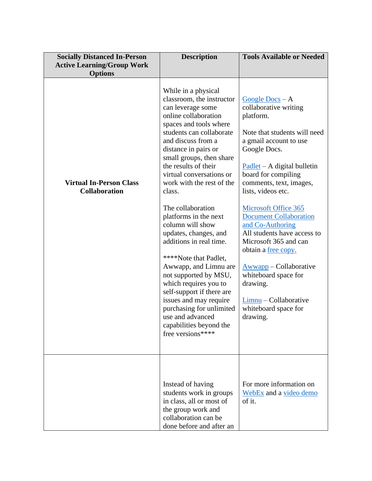| <b>Socially Distanced In-Person</b><br><b>Active Learning/Group Work</b><br><b>Options</b> | <b>Description</b>                                                                                                                                                                                                                                                                                                                                                                                                                                                                                                                                                                                                                                                                                        | <b>Tools Available or Needed</b>                                                                                                                                                                                                                                                                                                                                                                                                                                                                                                            |
|--------------------------------------------------------------------------------------------|-----------------------------------------------------------------------------------------------------------------------------------------------------------------------------------------------------------------------------------------------------------------------------------------------------------------------------------------------------------------------------------------------------------------------------------------------------------------------------------------------------------------------------------------------------------------------------------------------------------------------------------------------------------------------------------------------------------|---------------------------------------------------------------------------------------------------------------------------------------------------------------------------------------------------------------------------------------------------------------------------------------------------------------------------------------------------------------------------------------------------------------------------------------------------------------------------------------------------------------------------------------------|
| <b>Virtual In-Person Class</b><br><b>Collaboration</b>                                     | While in a physical<br>classroom, the instructor<br>can leverage some<br>online collaboration<br>spaces and tools where<br>students can collaborate<br>and discuss from a<br>distance in pairs or<br>small groups, then share<br>the results of their<br>virtual conversations or<br>work with the rest of the<br>class.<br>The collaboration<br>platforms in the next<br>column will show<br>updates, changes, and<br>additions in real time.<br>****Note that Padlet,<br>Awwapp, and Limnu are<br>not supported by MSU,<br>which requires you to<br>self-support if there are<br>issues and may require<br>purchasing for unlimited<br>use and advanced<br>capabilities beyond the<br>free versions**** | $Google$ $Docs - A$<br>collaborative writing<br>platform.<br>Note that students will need<br>a gmail account to use<br>Google Docs.<br>$Padlet – A digital bullet in$<br>board for compiling<br>comments, text, images,<br>lists, videos etc.<br>Microsoft Office 365<br><b>Document Collaboration</b><br>and Co-Authoring<br>All students have access to<br>Microsoft 365 and can<br>obtain a <u>free copy.</u><br>Awwapp – Collaborative<br>whiteboard space for<br>drawing.<br>Limnu - Collaborative<br>whiteboard space for<br>drawing. |
|                                                                                            | Instead of having<br>students work in groups<br>in class, all or most of<br>the group work and<br>collaboration can be<br>done before and after an                                                                                                                                                                                                                                                                                                                                                                                                                                                                                                                                                        | For more information on<br>WebEx and a video demo<br>of it.                                                                                                                                                                                                                                                                                                                                                                                                                                                                                 |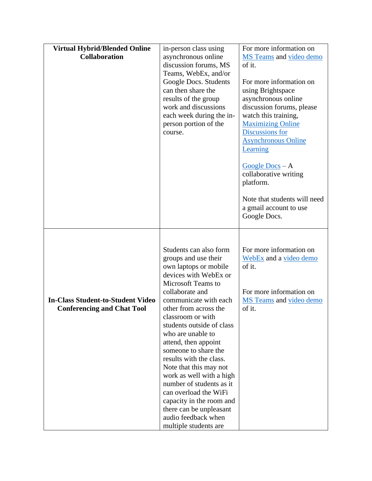| <b>Virtual Hybrid/Blended Online</b><br><b>Collaboration</b>                  | in-person class using<br>asynchronous online<br>discussion forums, MS<br>Teams, WebEx, and/or<br>Google Docs. Students<br>can then share the<br>results of the group<br>work and discussions<br>each week during the in-<br>person portion of the<br>course.                                                                                                                                                                                                                                                                                                    | For more information on<br>MS Teams and video demo<br>of it.<br>For more information on<br>using Brightspace<br>asynchronous online<br>discussion forums, please<br>watch this training,<br><b>Maximizing Online</b><br><b>Discussions for</b><br><b>Asynchronous Online</b><br>Learning<br>Google $Docs - A$<br>collaborative writing<br>platform.<br>Note that students will need<br>a gmail account to use<br>Google Docs. |
|-------------------------------------------------------------------------------|-----------------------------------------------------------------------------------------------------------------------------------------------------------------------------------------------------------------------------------------------------------------------------------------------------------------------------------------------------------------------------------------------------------------------------------------------------------------------------------------------------------------------------------------------------------------|-------------------------------------------------------------------------------------------------------------------------------------------------------------------------------------------------------------------------------------------------------------------------------------------------------------------------------------------------------------------------------------------------------------------------------|
| <b>In-Class Student-to-Student Video</b><br><b>Conferencing and Chat Tool</b> | Students can also form<br>groups and use their<br>own laptops or mobile<br>devices with WebEx or<br>Microsoft Teams to<br>collaborate and<br>communicate with each<br>other from across the<br>classroom or with<br>students outside of class<br>who are unable to<br>attend, then appoint<br>someone to share the<br>results with the class.<br>Note that this may not<br>work as well with a high<br>number of students as it<br>can overload the WiFi<br>capacity in the room and<br>there can be unpleasant<br>audio feedback when<br>multiple students are | For more information on<br>WebEx and a video demo<br>of it.<br>For more information on<br>MS Teams and video demo<br>of it.                                                                                                                                                                                                                                                                                                   |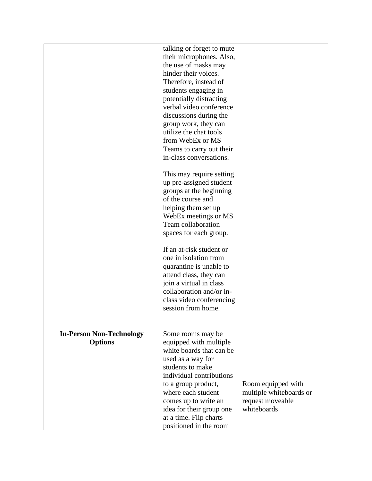|                                                   | talking or forget to mute<br>their microphones. Also,<br>the use of masks may<br>hinder their voices.<br>Therefore, instead of<br>students engaging in<br>potentially distracting<br>verbal video conference<br>discussions during the<br>group work, they can |                                                                                  |
|---------------------------------------------------|----------------------------------------------------------------------------------------------------------------------------------------------------------------------------------------------------------------------------------------------------------------|----------------------------------------------------------------------------------|
|                                                   | utilize the chat tools<br>from WebEx or MS<br>Teams to carry out their<br>in-class conversations.                                                                                                                                                              |                                                                                  |
|                                                   | This may require setting<br>up pre-assigned student<br>groups at the beginning<br>of the course and<br>helping them set up<br>WebEx meetings or MS<br>Team collaboration<br>spaces for each group.                                                             |                                                                                  |
|                                                   | If an at-risk student or<br>one in isolation from<br>quarantine is unable to<br>attend class, they can<br>join a virtual in class<br>collaboration and/or in-<br>class video conferencing<br>session from home.                                                |                                                                                  |
| <b>In-Person Non-Technology</b><br><b>Options</b> | Some rooms may be<br>equipped with multiple<br>white boards that can be<br>used as a way for<br>students to make<br>individual contributions                                                                                                                   |                                                                                  |
|                                                   | to a group product,<br>where each student<br>comes up to write an<br>idea for their group one<br>at a time. Flip charts<br>positioned in the room                                                                                                              | Room equipped with<br>multiple whiteboards or<br>request moveable<br>whiteboards |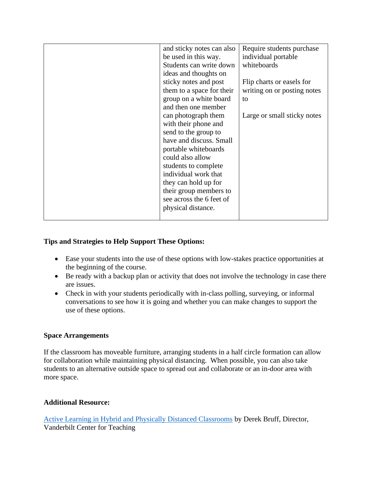| and sticky notes can also<br>be used in this way.<br>Students can write down<br>ideas and thoughts on<br>sticky notes and post<br>them to a space for their<br>group on a white board<br>and then one member<br>can photograph them<br>with their phone and<br>send to the group to<br>have and discuss. Small<br>portable whiteboards<br>could also allow<br>students to complete<br>individual work that<br>they can hold up for<br>their group members to | Require students purchase<br>individual portable<br>whiteboards<br>Flip charts or easels for<br>writing on or posting notes<br>to<br>Large or small sticky notes |
|--------------------------------------------------------------------------------------------------------------------------------------------------------------------------------------------------------------------------------------------------------------------------------------------------------------------------------------------------------------------------------------------------------------------------------------------------------------|------------------------------------------------------------------------------------------------------------------------------------------------------------------|
|--------------------------------------------------------------------------------------------------------------------------------------------------------------------------------------------------------------------------------------------------------------------------------------------------------------------------------------------------------------------------------------------------------------------------------------------------------------|------------------------------------------------------------------------------------------------------------------------------------------------------------------|

# **Tips and Strategies to Help Support These Options:**

- Ease your students into the use of these options with low-stakes practice opportunities at the beginning of the course.
- Be ready with a backup plan or activity that does not involve the technology in case there are issues.
- Check in with your students periodically with in-class polling, surveying, or informal conversations to see how it is going and whether you can make changes to support the use of these options.

# **Space Arrangements**

If the classroom has moveable furniture, arranging students in a half circle formation can allow for collaboration while maintaining physical distancing. When possible, you can also take students to an alternative outside space to spread out and collaborate or an in-door area with more space.

# **Additional Resource:**

[Active Learning in Hybrid and Physically Distanced Classrooms](about:blank) by Derek Bruff, Director, Vanderbilt Center for Teaching